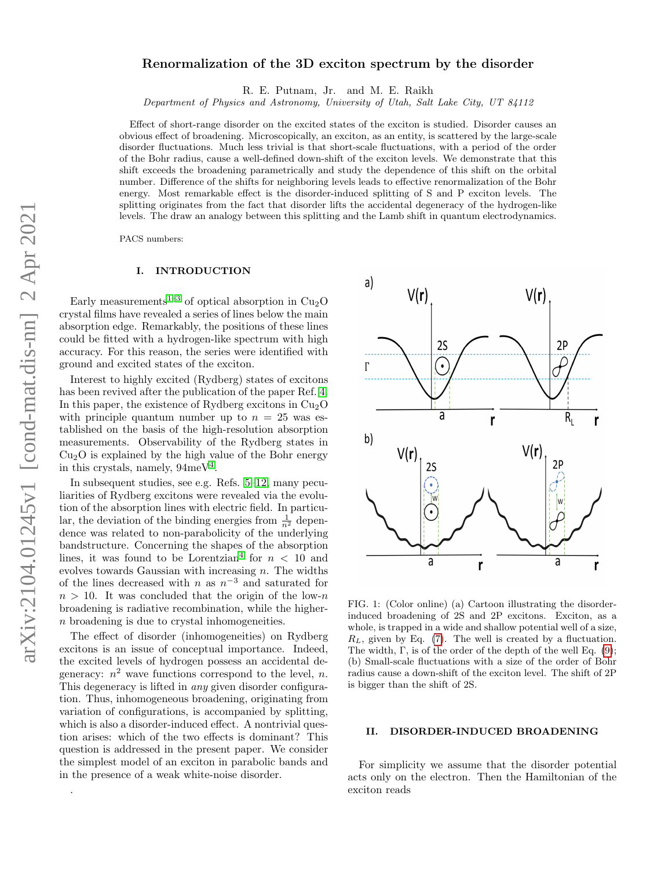# arXiv:2104.01245v1 [cond-mat.dis-nn] 2 Apr 2021 arXiv:2104.01245v1 [cond-mat.dis-nn] 2 Apr 2021

.

# Renormalization of the 3D exciton spectrum by the disorder

R. E. Putnam, Jr. and M. E. Raikh

Department of Physics and Astronomy, University of Utah, Salt Lake City, UT 84112

Effect of short-range disorder on the excited states of the exciton is studied. Disorder causes an obvious effect of broadening. Microscopically, an exciton, as an entity, is scattered by the large-scale disorder fluctuations. Much less trivial is that short-scale fluctuations, with a period of the order of the Bohr radius, cause a well-defined down-shift of the exciton levels. We demonstrate that this shift exceeds the broadening parametrically and study the dependence of this shift on the orbital number. Difference of the shifts for neighboring levels leads to effective renormalization of the Bohr energy. Most remarkable effect is the disorder-induced splitting of S and P exciton levels. The splitting originates from the fact that disorder lifts the accidental degeneracy of the hydrogen-like levels. The draw an analogy between this splitting and the Lamb shift in quantum electrodynamics.

PACS numbers:

# I. INTRODUCTION

Early measurements<sup>[1](#page-4-0)-3</sup> of optical absorption in  $Cu<sub>2</sub>O$ crystal films have revealed a series of lines below the main absorption edge. Remarkably, the positions of these lines could be fitted with a hydrogen-like spectrum with high accuracy. For this reason, the series were identified with ground and excited states of the exciton.

Interest to highly excited (Rydberg) states of excitons has been revived after the publication of the paper Ref. [4.](#page-4-2) In this paper, the existence of Rydberg excitons in  $Cu<sub>2</sub>O$ with principle quantum number up to  $n = 25$  was established on the basis of the high-resolution absorption measurements. Observability of the Rydberg states in  $Cu<sub>2</sub>O$  is explained by the high value of the Bohr energy in this crystals, namely,  $94 \text{meV}^4$  $94 \text{meV}^4$  $94 \text{meV}^4$ .

In subsequent studies, see e.g. Refs. [5–](#page-4-3)[12,](#page-5-0) many peculiarities of Rydberg excitons were revealed via the evolution of the absorption lines with electric field. In particular, the deviation of the binding energies from  $\frac{1}{n^2}$  dependence was related to non-parabolicity of the underlying bandstructure. Concerning the shapes of the absorption lines, it was found to be Lorentzian<sup>[4](#page-4-2)</sup> for  $n < 10$  and evolves towards Gaussian with increasing  $n$ . The widths of the lines decreased with n as  $n^{-3}$  and saturated for  $n > 10$ . It was concluded that the origin of the low-n broadening is radiative recombination, while the highern broadening is due to crystal inhomogeneities.

The effect of disorder (inhomogeneities) on Rydberg excitons is an issue of conceptual importance. Indeed, the excited levels of hydrogen possess an accidental degeneracy:  $n^2$  wave functions correspond to the level, n. This degeneracy is lifted in any given disorder configuration. Thus, inhomogeneous broadening, originating from variation of configurations, is accompanied by splitting, which is also a disorder-induced effect. A nontrivial question arises: which of the two effects is dominant? This question is addressed in the present paper. We consider the simplest model of an exciton in parabolic bands and in the presence of a weak white-noise disorder.



<span id="page-0-0"></span>FIG. 1: (Color online) (a) Cartoon illustrating the disorderinduced broadening of 2S and 2P excitons. Exciton, as a whole, is trapped in a wide and shallow potential well of a size,  $R_L$ , given by Eq. [\(7\)](#page-1-0). The well is created by a fluctuation. The width, Γ, is of the order of the depth of the well Eq. [\(9\)](#page-1-1); (b) Small-scale fluctuations with a size of the order of Bohr radius cause a down-shift of the exciton level. The shift of 2P is bigger than the shift of 2S.

### II. DISORDER-INDUCED BROADENING

For simplicity we assume that the disorder potential acts only on the electron. Then the Hamiltonian of the exciton reads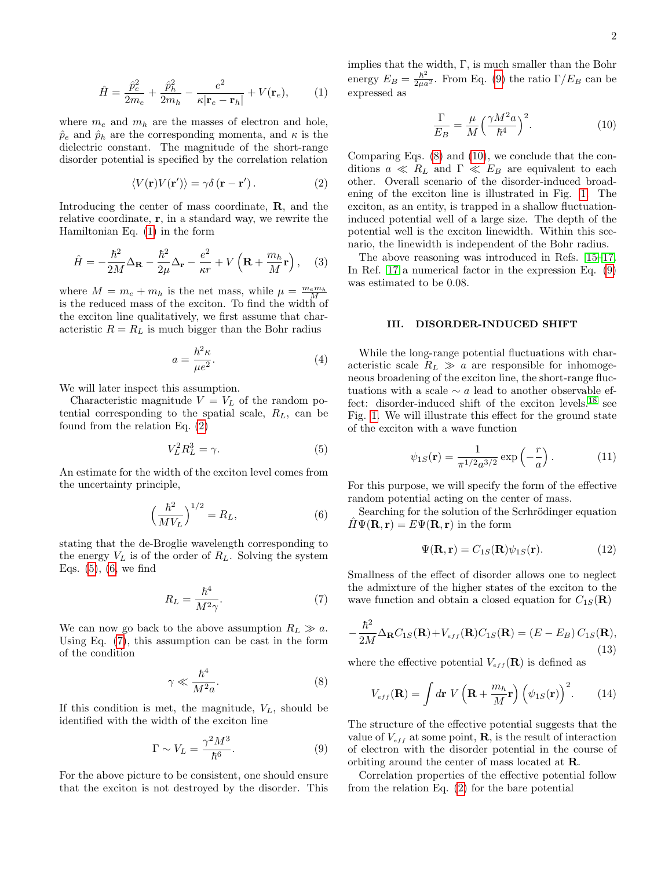<span id="page-1-2"></span>
$$
\hat{H} = \frac{\hat{p}_e^2}{2m_e} + \frac{\hat{p}_h^2}{2m_h} - \frac{e^2}{\kappa |\mathbf{r}_e - \mathbf{r}_h|} + V(\mathbf{r}_e),\tag{1}
$$

where  $m_e$  and  $m_h$  are the masses of electron and hole,  $\hat{p}_e$  and  $\hat{p}_h$  are the corresponding momenta, and  $\kappa$  is the dielectric constant. The magnitude of the short-range disorder potential is specified by the correlation relation

<span id="page-1-3"></span>
$$
\langle V(\mathbf{r})V(\mathbf{r}')\rangle = \gamma \delta(\mathbf{r} - \mathbf{r}'). \tag{2}
$$

Introducing the center of mass coordinate, R, and the relative coordinate, r, in a standard way, we rewrite the Hamiltonian Eq. [\(1\)](#page-1-2) in the form

$$
\hat{H} = -\frac{\hbar^2}{2M} \Delta_{\mathbf{R}} - \frac{\hbar^2}{2\mu} \Delta_{\mathbf{r}} - \frac{e^2}{\kappa r} + V\left(\mathbf{R} + \frac{m_h}{M}\mathbf{r}\right), \quad (3)
$$

where  $M = m_e + m_h$  is the net mass, while  $\mu = \frac{m_e m_h}{M}$ is the reduced mass of the exciton. To find the width of the exciton line qualitatively, we first assume that characteristic  $R = R_L$  is much bigger than the Bohr radius

$$
a = \frac{\hbar^2 \kappa}{\mu e^2}.
$$
 (4)

We will later inspect this assumption.

Characteristic magnitude  $V = V_L$  of the random potential corresponding to the spatial scale,  $R_L$ , can be found from the relation Eq. [\(2\)](#page-1-3)

<span id="page-1-4"></span>
$$
V_L^2 R_L^3 = \gamma. \tag{5}
$$

An estimate for the width of the exciton level comes from the uncertainty principle,

<span id="page-1-5"></span>
$$
\left(\frac{\hbar^2}{MV_L}\right)^{1/2} = R_L,\tag{6}
$$

stating that the de-Broglie wavelength corresponding to the energy  $V_L$  is of the order of  $R_L$ . Solving the system Eqs.  $(5)$ ,  $(6,$  we find

<span id="page-1-0"></span>
$$
R_L = \frac{\hbar^4}{M^2 \gamma}.\tag{7}
$$

We can now go back to the above assumption  $R_L \gg a$ . Using Eq. [\(7\)](#page-1-0), this assumption can be cast in the form of the condition

<span id="page-1-6"></span>
$$
\gamma \ll \frac{\hbar^4}{M^2 a}.\tag{8}
$$

If this condition is met, the magnitude,  $V<sub>L</sub>$ , should be identified with the width of the exciton line

<span id="page-1-1"></span>
$$
\Gamma \sim V_L = \frac{\gamma^2 M^3}{\hbar^6}.
$$
\n(9)

For the above picture to be consistent, one should ensure that the exciton is not destroyed by the disorder. This implies that the width,  $\Gamma$ , is much smaller than the Bohr energy  $E_B = \frac{\hbar^2}{2\mu a^2}$ . From Eq. [\(9\)](#page-1-1) the ratio  $\Gamma/E_B$  can be expressed as

<span id="page-1-7"></span>
$$
\frac{\Gamma}{E_B} = \frac{\mu}{M} \left(\frac{\gamma M^2 a}{\hbar^4}\right)^2.
$$
\n(10)

Comparing Eqs. [\(8\)](#page-1-6) and [\(10\)](#page-1-7), we conclude that the conditions  $a \ll R_L$  and  $\Gamma \ll E_B$  are equivalent to each other. Overall scenario of the disorder-induced broadening of the exciton line is illustrated in Fig. [1.](#page-0-0) The exciton, as an entity, is trapped in a shallow fluctuationinduced potential well of a large size. The depth of the potential well is the exciton linewidth. Within this scenario, the linewidth is independent of the Bohr radius.

The above reasoning was introduced in Refs. [15](#page-5-1)[–17.](#page-5-2) In Ref. [17](#page-5-2) a numerical factor in the expression Eq. [\(9\)](#page-1-1) was estimated to be 0.08.

### III. DISORDER-INDUCED SHIFT

While the long-range potential fluctuations with characteristic scale  $R_L \gg a$  are responsible for inhomogeneous broadening of the exciton line, the short-range fluctuations with a scale  $\sim a$  lead to another observable effect: disorder-induced shift of the exciton levels.[18](#page-5-3) see Fig. [1.](#page-0-0) We will illustrate this effect for the ground state of the exciton with a wave function

$$
\psi_{1S}(\mathbf{r}) = \frac{1}{\pi^{1/2} a^{3/2}} \exp\left(-\frac{r}{a}\right). \tag{11}
$$

For this purpose, we will specify the form of the effective random potential acting on the center of mass.

Searching for the solution of the Scrhrödinger equation  $\hat{H}\Psi(\mathbf{R},\mathbf{r})=E\Psi(\mathbf{R},\mathbf{r})$  in the form

$$
\Psi(\mathbf{R}, \mathbf{r}) = C_{1S}(\mathbf{R})\psi_{1S}(\mathbf{r}).\tag{12}
$$

Smallness of the effect of disorder allows one to neglect the admixture of the higher states of the exciton to the wave function and obtain a closed equation for  $C_{1S}(\mathbf{R})$ 

$$
-\frac{\hbar^2}{2M}\Delta_{\mathbf{R}}C_{1S}(\mathbf{R})+V_{eff}(\mathbf{R})C_{1S}(\mathbf{R})=(E-E_B)C_{1S}(\mathbf{R}),
$$
\n(13)

where the effective potential  $V_{eff}({\bf R})$  is defined as

$$
V_{eff}(\mathbf{R}) = \int d\mathbf{r} \ V\left(\mathbf{R} + \frac{m_h}{M}\mathbf{r}\right) \left(\psi_{1S}(\mathbf{r})\right)^2.
$$
 (14)

The structure of the effective potential suggests that the value of  $V_{eff}$  at some point, **R**, is the result of interaction of electron with the disorder potential in the course of orbiting around the center of mass located at R.

Correlation properties of the effective potential follow from the relation Eq. [\(2\)](#page-1-3) for the bare potential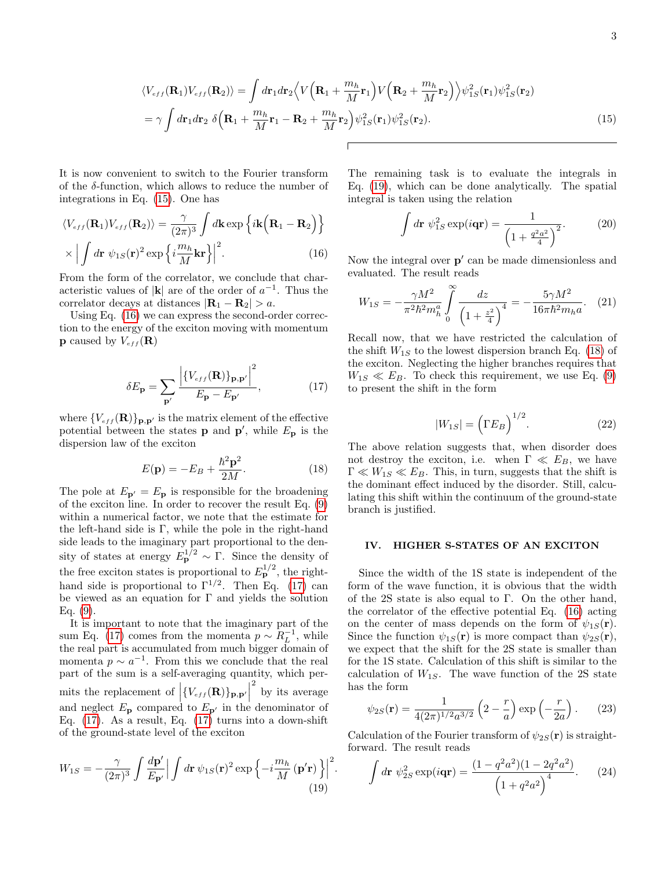$$
\langle V_{eff}(\mathbf{R}_1) V_{eff}(\mathbf{R}_2) \rangle = \int d\mathbf{r}_1 d\mathbf{r}_2 \Big\langle V\Big(\mathbf{R}_1 + \frac{m_h}{M} \mathbf{r}_1\Big) V\Big(\mathbf{R}_2 + \frac{m_h}{M} \mathbf{r}_2\Big) \Big\rangle \psi_{1S}^2(\mathbf{r}_1) \psi_{1S}^2(\mathbf{r}_2)
$$
  
=  $\gamma \int d\mathbf{r}_1 d\mathbf{r}_2 \delta \Big(\mathbf{R}_1 + \frac{m_h}{M} \mathbf{r}_1 - \mathbf{R}_2 + \frac{m_h}{M} \mathbf{r}_2\Big) \psi_{1S}^2(\mathbf{r}_1) \psi_{1S}^2(\mathbf{r}_2).$  (15)

It is now convenient to switch to the Fourier transform of the  $\delta$ -function, which allows to reduce the number of integrations in Eq. [\(15\)](#page-2-0). One has

$$
\langle V_{eff}(\mathbf{R}_1) V_{eff}(\mathbf{R}_2) \rangle = \frac{\gamma}{(2\pi)^3} \int d\mathbf{k} \exp \left\{ i \mathbf{k} \left( \mathbf{R}_1 - \mathbf{R}_2 \right) \right\}
$$

$$
\times \left| \int d\mathbf{r} \; \psi_{1S}(\mathbf{r})^2 \exp \left\{ i \frac{m_h}{M} \mathbf{k} \mathbf{r} \right\} \right|^2. \tag{16}
$$

From the form of the correlator, we conclude that characteristic values of  $|\mathbf{k}|$  are of the order of  $a^{-1}$ . Thus the correlator decays at distances  $|\mathbf{R}_1 - \mathbf{R}_2| > a$ .

Using Eq. [\(16\)](#page-2-1) we can express the second-order correction to the energy of the exciton moving with momentum **p** caused by  $V_{eff}(\mathbf{R})$ 

<span id="page-2-2"></span>
$$
\delta E_{\mathbf{p}} = \sum_{\mathbf{p}'} \frac{\left| \{ V_{eff}(\mathbf{R}) \}_{\mathbf{p}, \mathbf{p}'} \right|^2}{E_{\mathbf{p}} - E_{\mathbf{p}'}} , \tag{17}
$$

where  $\{V_{eff}(\mathbf{R})\}_{\mathbf{p},\mathbf{p}'}$  is the matrix element of the effective potential between the states **p** and **p'**, while  $E_p$  is the dispersion law of the exciton

<span id="page-2-4"></span>
$$
E(\mathbf{p}) = -E_B + \frac{\hbar^2 \mathbf{p}^2}{2M}.
$$
\n(18)

The pole at  $E_{\mathbf{p}'} = E_{\mathbf{p}}$  is responsible for the broadening of the exciton line. In order to recover the result Eq. [\(9\)](#page-1-1) within a numerical factor, we note that the estimate for the left-hand side is Γ, while the pole in the right-hand side leads to the imaginary part proportional to the density of states at energy  $E_p^{1/2} \sim \Gamma$ . Since the density of the free exciton states is proportional to  $E^{1/2}_{\bf p}$ , the righthand side is proportional to  $\Gamma^{1/2}$ . Then Eq. [\(17\)](#page-2-2) can be viewed as an equation for  $\Gamma$  and yields the solution Eq. [\(9\)](#page-1-1).

It is important to note that the imaginary part of the sum Eq. [\(17\)](#page-2-2) comes from the momenta  $p \sim R_L^{-1}$ , while the real part is accumulated from much bigger domain of momenta  $p \sim a^{-1}$ . From this we conclude that the real part of the sum is a self-averaging quantity, which permits the replacement of  $\left\{V_{eff}(\mathbf{R})\right\}_{\mathbf{p},\mathbf{p}'}$ 2 by its average and neglect  $E_{\mathbf{p}}$  compared to  $E_{\mathbf{p}'}$  in the denominator of Eq. [\(17\)](#page-2-2). As a result, Eq. (17) turns into a down-shift of the ground-state level of the exciton

<span id="page-2-3"></span>
$$
W_{1S} = -\frac{\gamma}{(2\pi)^3} \int \frac{d\mathbf{p}'}{E_{\mathbf{p}'}} \Big| \int d\mathbf{r} \, \psi_{1S}(\mathbf{r})^2 \exp\left\{-i\frac{m_h}{M} (\mathbf{p}'\mathbf{r})\right\} \Big|^2.
$$
\n(19)

The remaining task is to evaluate the integrals in Eq. [\(19\)](#page-2-3), which can be done analytically. The spatial integral is taken using the relation

<span id="page-2-0"></span>
$$
\int d\mathbf{r} \, \psi_{1S}^2 \exp(i\mathbf{q}\mathbf{r}) = \frac{1}{\left(1 + \frac{q^2 a^2}{4}\right)^2}.
$$
 (20)

<span id="page-2-1"></span>Now the integral over  $p'$  can be made dimensionless and evaluated. The result reads

$$
W_{1S} = -\frac{\gamma M^2}{\pi^2 \hbar^2 m_h^a} \int_0^\infty \frac{dz}{\left(1 + \frac{z^2}{4}\right)^4} = -\frac{5\gamma M^2}{16\pi \hbar^2 m_h a}.
$$
 (21)

Recall now, that we have restricted the calculation of the shift  $W_{1S}$  to the lowest dispersion branch Eq. [\(18\)](#page-2-4) of the exciton. Neglecting the higher branches requires that  $W_{1S} \ll E_B$ . To check this requirement, we use Eq. [\(9\)](#page-1-1) to present the shift in the form

<span id="page-2-5"></span>
$$
|W_{1S}| = \left(\Gamma E_B\right)^{1/2}.\tag{22}
$$

The above relation suggests that, when disorder does not destroy the exciton, i.e. when  $\Gamma \ll E_B$ , we have  $\Gamma \ll W_{1S} \ll E_B$ . This, in turn, suggests that the shift is the dominant effect induced by the disorder. Still, calculating this shift within the continuum of the ground-state branch is justified.

### IV. HIGHER S-STATES OF AN EXCITON

Since the width of the 1S state is independent of the form of the wave function, it is obvious that the width of the 2S state is also equal to Γ. On the other hand, the correlator of the effective potential Eq. [\(16\)](#page-2-1) acting on the center of mass depends on the form of  $\psi_{1S}(\mathbf{r})$ . Since the function  $\psi_{1S}(\mathbf{r})$  is more compact than  $\psi_{2S}(\mathbf{r}),$ we expect that the shift for the 2S state is smaller than for the 1S state. Calculation of this shift is similar to the calculation of  $W_{1S}$ . The wave function of the 2S state has the form

$$
\psi_{2S}(\mathbf{r}) = \frac{1}{4(2\pi)^{1/2}a^{3/2}} \left(2 - \frac{r}{a}\right) \exp\left(-\frac{r}{2a}\right). \tag{23}
$$

Calculation of the Fourier transform of  $\psi_{2S}(\mathbf{r})$  is straightforward. The result reads

$$
\int d\mathbf{r} \ \psi_{2S}^2 \exp(i\mathbf{q}\mathbf{r}) = \frac{(1 - q^2 a^2)(1 - 2q^2 a^2)}{(1 + q^2 a^2)^4}.
$$
 (24)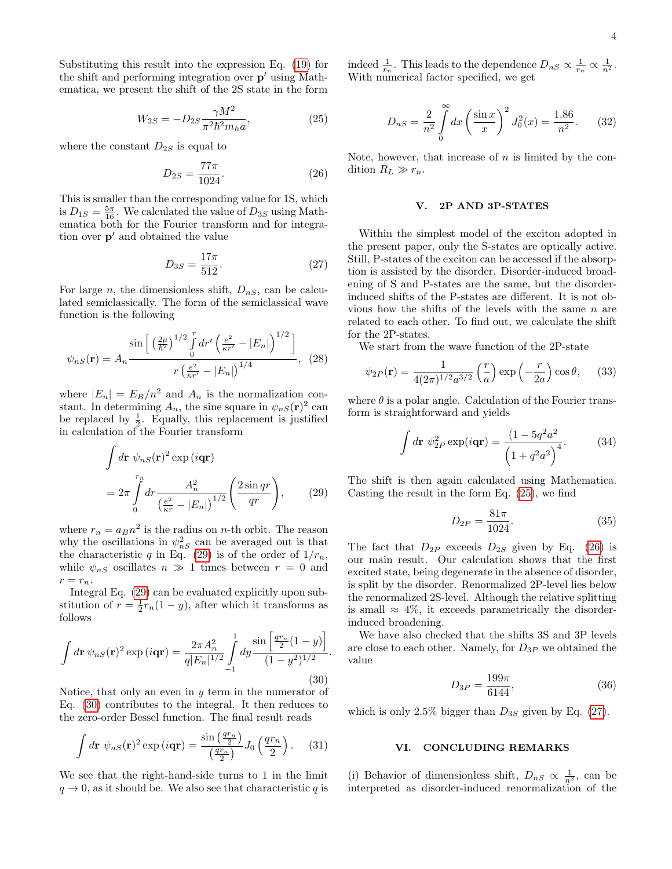Substituting this result into the expression Eq. [\(19\)](#page-2-3) for the shift and performing integration over  $p'$  using Mathematica, we present the shift of the 2S state in the form

<span id="page-3-2"></span>
$$
W_{2S} = -D_{2S} \frac{\gamma M^2}{\pi^2 \hbar^2 m_h a},\tag{25}
$$

where the constant  $D_{2S}$  is equal to

<span id="page-3-3"></span>
$$
D_{2S} = \frac{77\pi}{1024}.
$$
\n(26)

This is smaller than the corresponding value for 1S, which is  $D_{1S} = \frac{5\pi}{16}$ . We calculated the value of  $D_{3S}$  using Mathematica both for the Fourier transform and for integration over  $p'$  and obtained the value

<span id="page-3-4"></span>
$$
D_{3S} = \frac{17\pi}{512}.\t(27)
$$

For large n, the dimensionless shift,  $D_{nS}$ , can be calculated semiclassically. The form of the semiclassical wave function is the following

$$
\psi_{nS}(\mathbf{r}) = A_n \frac{\sin\left[\left(\frac{2\mu}{\hbar^2}\right)^{1/2} \int_0^r dr' \left(\frac{e^2}{\kappa r'} - |E_n|\right)^{1/2}\right]}{r \left(\frac{e^2}{\kappa r'} - |E_n|\right)^{1/4}}, \quad (28)
$$

where  $|E_n| = E_B/n^2$  and  $A_n$  is the normalization constant. In determining  $A_n$ , the sine square in  $\psi_{nS}(\mathbf{r})^2$  can be replaced by  $\frac{1}{2}$ . Equally, this replacement is justified in calculation of the Fourier transform

$$
\int d\mathbf{r} \ \psi_{nS}(\mathbf{r})^2 \exp(i\mathbf{q}\mathbf{r})
$$
\n
$$
= 2\pi \int_{0}^{r_n} dr \frac{A_n^2}{\left(\frac{e^2}{\kappa r} - |E_n|\right)^{1/2}} \left(\frac{2\sin qr}{qr}\right),\qquad(29)
$$

where  $r_n = a_B n^2$  is the radius on *n*-th orbit. The reason why the oscillations in  $\psi_{nS}^2$  can be averaged out is that the characteristic q in Eq. [\(29\)](#page-3-0) is of the order of  $1/r_n$ , while  $\psi_{nS}$  oscillates  $n \gg 1$  times between  $r = 0$  and  $r = r_n$ .

Integral Eq. [\(29\)](#page-3-0) can be evaluated explicitly upon substitution of  $r = \frac{1}{2}r_n(1-y)$ , after which it transforms as follows

<span id="page-3-1"></span>
$$
\int d\mathbf{r} \,\psi_{nS}(\mathbf{r})^2 \exp(i\mathbf{q}\mathbf{r}) = \frac{2\pi A_n^2}{q|E_n|^{1/2}} \int_{-1}^1 dy \frac{\sin\left[\frac{qr_n}{2}(1-y)\right]}{(1-y^2)^{1/2}}.
$$
\n(30)

Notice, that only an even in  $y$  term in the numerator of Eq. [\(30\)](#page-3-1) contributes to the integral. It then reduces to the zero-order Bessel function. The final result reads

$$
\int d\mathbf{r} \ \psi_{nS}(\mathbf{r})^2 \exp(i\mathbf{q}\mathbf{r}) = \frac{\sin\left(\frac{q r_n}{2}\right)}{\left(\frac{q r_n}{2}\right)} J_0\left(\frac{q r_n}{2}\right). \tag{31}
$$

We see that the right-hand-side turns to 1 in the limit  $q \to 0$ , as it should be. We also see that characteristic q is

indeed  $\frac{1}{r_n}$ . This leads to the dependence  $D_{nS} \propto \frac{1}{r_n} \propto \frac{1}{n^2}$ . With numerical factor specified, we get

$$
D_{nS} = \frac{2}{n^2} \int_{0}^{\infty} dx \left(\frac{\sin x}{x}\right)^2 J_0^2(x) = \frac{1.86}{n^2}.
$$
 (32)

Note, however, that increase of  $n$  is limited by the condition  $R_L \gg r_n$ .

## V. 2P AND 3P-STATES

Within the simplest model of the exciton adopted in the present paper, only the S-states are optically active. Still, P-states of the exciton can be accessed if the absorption is assisted by the disorder. Disorder-induced broadening of S and P-states are the same, but the disorderinduced shifts of the P-states are different. It is not obvious how the shifts of the levels with the same  $n$  are related to each other. To find out, we calculate the shift for the 2P-states.

We start from the wave function of the 2P-state

$$
\psi_{2P}(\mathbf{r}) = \frac{1}{4(2\pi)^{1/2}a^{3/2}} \left(\frac{r}{a}\right) \exp\left(-\frac{r}{2a}\right) \cos \theta, \quad (33)
$$

where  $\theta$  is a polar angle. Calculation of the Fourier transform is straightforward and yields

$$
\int d\mathbf{r} \ \psi_{2P}^2 \exp(i\mathbf{q}\mathbf{r}) = \frac{(1 - 5q^2a^2)}{(1 + q^2a^2)^4}.
$$
 (34)

<span id="page-3-0"></span>The shift is then again calculated using Mathematica. Casting the result in the form Eq. [\(25\)](#page-3-2), we find

$$
D_{2P} = \frac{81\pi}{1024}.\tag{35}
$$

The fact that  $D_{2P}$  exceeds  $D_{2S}$  given by Eq. [\(26\)](#page-3-3) is our main result. Our calculation shows that the first excited state, being degenerate in the absence of disorder, is split by the disorder. Renormalized 2P-level lies below the renormalized 2S-level. Although the relative splitting is small  $\approx$  4%, it exceeds parametrically the disorderinduced broadening.

We have also checked that the shifts 3S and 3P levels are close to each other. Namely, for  $D_{3P}$  we obtained the value

$$
D_{3P} = \frac{199\pi}{6144},\tag{36}
$$

which is only 2.5% bigger than  $D_{3S}$  given by Eq. [\(27\)](#page-3-4).

### VI. CONCLUDING REMARKS

(i) Behavior of dimensionless shift,  $D_{nS} \propto \frac{1}{n^2}$ , can be interpreted as disorder-induced renormalization of the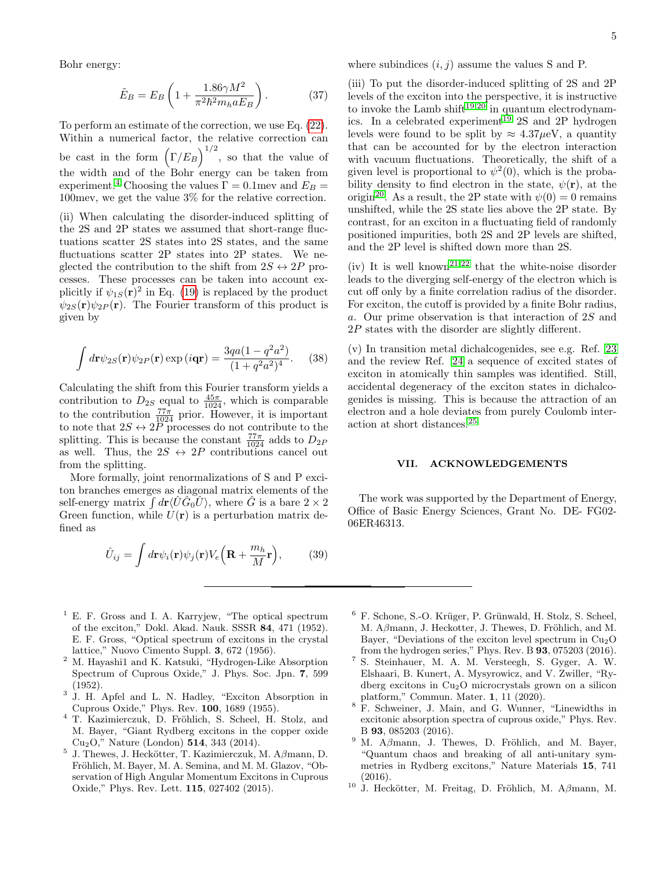Bohr energy:

$$
\tilde{E}_B = E_B \left( 1 + \frac{1.86 \gamma M^2}{\pi^2 \hbar^2 m_h a E_B} \right). \tag{37}
$$

To perform an estimate of the correction, we use Eq. [\(22\)](#page-2-5). Within a numerical factor, the relative correction can be cast in the form  $(\Gamma/E_B)^{1/2}$ , so that the value of the width and of the Bohr energy can be taken from experiment.<sup>[4](#page-4-2)</sup> Choosing the values  $\Gamma = 0.1$ mev and  $E_B =$ 100mev, we get the value 3% for the relative correction.

(ii) When calculating the disorder-induced splitting of the 2S and 2P states we assumed that short-range fluctuations scatter 2S states into 2S states, and the same fluctuations scatter 2P states into 2P states. We neglected the contribution to the shift from  $2S \leftrightarrow 2P$  processes. These processes can be taken into account explicitly if  $\psi_{1S}(\mathbf{r})^2$  in Eq. [\(19\)](#page-2-3) is replaced by the product  $\psi_{2S}(\mathbf{r})\psi_{2P}(\mathbf{r})$ . The Fourier transform of this product is given by

$$
\int d\mathbf{r} \psi_{2S}(\mathbf{r}) \psi_{2P}(\mathbf{r}) \exp(i\mathbf{q}\mathbf{r}) = \frac{3qa(1-q^2a^2)}{(1+q^2a^2)^4}.
$$
 (38)

Calculating the shift from this Fourier transform yields a contribution to  $D_{2S}$  equal to  $\frac{45\pi}{1024}$ , which is comparable to the contribution  $\frac{77\pi}{1024}$  prior. However, it is important to note that  $2S \leftrightarrow 2\overline{P}$  processes do not contribute to the splitting. This is because the constant  $\frac{77\pi}{1024}$  adds to  $D_{2P}$ as well. Thus, the  $2S \leftrightarrow 2P$  contributions cancel out from the splitting.

More formally, joint renormalizations of S and P exciton branches emerges as diagonal matrix elements of the self-energy matrix  $\int d\mathbf{r} \langle \hat{U} \hat{G}_0 \hat{U} \rangle$ , where  $\hat{G}$  is a bare  $2 \times 2$ Green function, while  $U(\mathbf{r})$  is a perturbation matrix defined as

$$
\hat{U}_{ij} = \int d\mathbf{r} \psi_i(\mathbf{r}) \psi_j(\mathbf{r}) V_e\left(\mathbf{R} + \frac{m_h}{M}\mathbf{r}\right),\tag{39}
$$

(iii) To put the disorder-induced splitting of 2S and 2P levels of the exciton into the perspective, it is instructive to invoke the Lamb shift<sup>[19,](#page-5-4)[20](#page-5-5)</sup> in quantum electrodynam-ics. In a celebrated experiment<sup>[19](#page-5-4)</sup> 2S and 2P hydrogen levels were found to be split by  $\approx 4.37 \mu\text{eV}$ , a quantity that can be accounted for by the electron interaction with vacuum fluctuations. Theoretically, the shift of a given level is proportional to  $\psi^2(0)$ , which is the probability density to find electron in the state,  $\psi(\mathbf{r})$ , at the origin<sup>[20](#page-5-5)</sup>. As a result, the 2P state with  $\psi(0) = 0$  remains unshifted, while the 2S state lies above the 2P state. By contrast, for an exciton in a fluctuating field of randomly positioned impurities, both 2S and 2P levels are shifted, and the 2P level is shifted down more than 2S.

(iv) It is well known<sup>[21,](#page-5-6)[22](#page-5-7)</sup> that the white-noise disorder leads to the diverging self-energy of the electron which is cut off only by a finite correlation radius of the disorder. For exciton, the cutoff is provided by a finite Bohr radius, a. Our prime observation is that interaction of 2S and 2P states with the disorder are slightly different.

(v) In transition metal dichalcogenides, see e.g. Ref. [23](#page-5-8) and the review Ref. [24](#page-5-9) a sequence of excited states of exciton in atomically thin samples was identified. Still, accidental degeneracy of the exciton states in dichalcogenides is missing. This is because the attraction of an electron and a hole deviates from purely Coulomb interaction at short distances.[25](#page-5-10)

### VII. ACKNOWLEDGEMENTS

The work was supported by the Department of Energy, Office of Basic Energy Sciences, Grant No. DE- FG02- 06ER46313.

- <span id="page-4-0"></span> $<sup>1</sup>$  E. F. Gross and I. A. Karryjew, "The optical spectrum</sup> of the exciton," Dokl. Akad. Nauk. SSSR 84, 471 (1952). E. F. Gross, "Optical spectrum of excitons in the crystal lattice," Nuovo Cimento Suppl. 3, 672 (1956).
- <sup>2</sup> M. Hayashi1 and K. Katsuki, "Hydrogen-Like Absorption Spectrum of Cuprous Oxide," J. Phys. Soc. Jpn. 7, 599 (1952).
- <span id="page-4-1"></span>3 J. H. Apfel and L. N. Hadley, "Exciton Absorption in Cuprous Oxide," Phys. Rev. 100, 1689 (1955).
- <span id="page-4-2"></span><sup>4</sup> T. Kazimierczuk, D. Fröhlich, S. Scheel, H. Stolz, and M. Bayer, "Giant Rydberg excitons in the copper oxide Cu2O," Nature (London) 514, 343 (2014).
- <span id="page-4-3"></span><sup>5</sup> J. Thewes, J. Heckötter, T. Kazimierczuk, M. A $\beta$ mann, D. Fröhlich, M. Bayer, M. A. Semina, and M. M. Glazov, "Observation of High Angular Momentum Excitons in Cuprous Oxide," Phys. Rev. Lett. 115, 027402 (2015).
- $6$  F. Schone, S.-O. Krüger, P. Grünwald, H. Stolz, S. Scheel, M. Aβmann, J. Heckotter, J. Thewes, D. Fröhlich, and M. Bayer, "Deviations of the exciton level spectrum in  $Cu<sub>2</sub>O$ from the hydrogen series," Phys. Rev. B 93, 075203 (2016).
- <sup>7</sup> S. Steinhauer, M. A. M. Versteegh, S. Gyger, A. W. Elshaari, B. Kunert, A. Mysyrowicz, and V. Zwiller, "Rydberg excitons in Cu2O microcrystals grown on a silicon platform," Commun. Mater. 1, 11 (2020).
- <sup>8</sup> F. Schweiner, J. Main, and G. Wunner, "Linewidths in excitonic absorption spectra of cuprous oxide," Phys. Rev. B 93, 085203 (2016).
- M. A $\beta$ mann, J. Thewes, D. Fröhlich, and M. Bayer, "Quantum chaos and breaking of all anti-unitary symmetries in Rydberg excitons," Nature Materials 15, 741 (2016).
- <sup>10</sup> J. Heckötter, M. Freitag, D. Fröhlich, M. A $\beta$ mann, M.